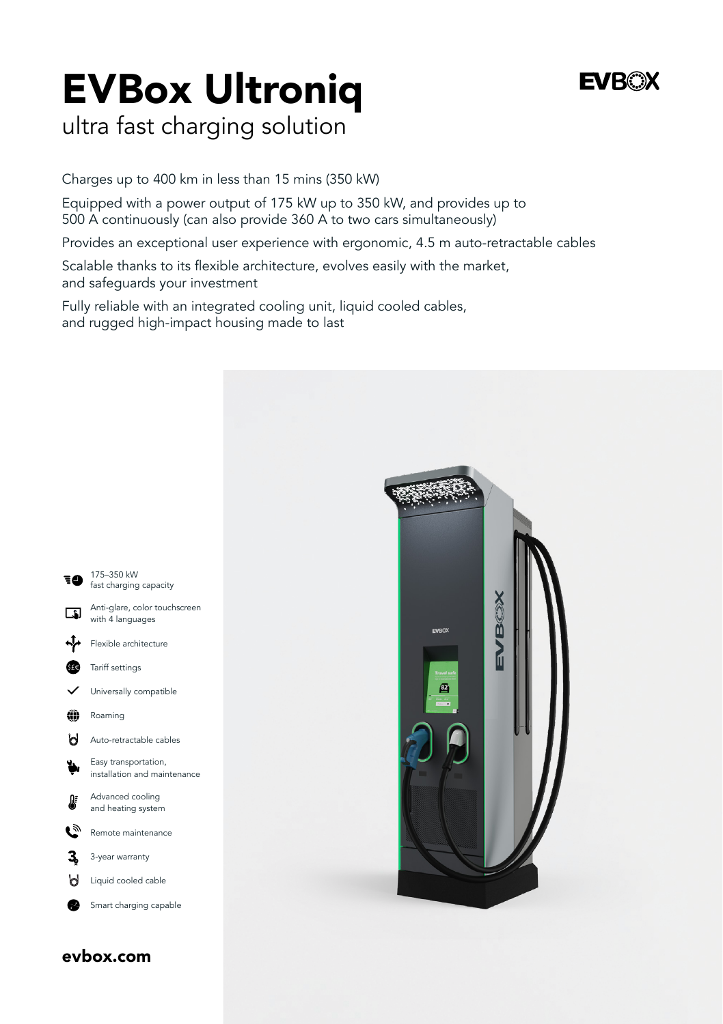# EVBox Ultroniq

### **FVROX**

### ultra fast charging solution

Charges up to 400 km in less than 15 mins (350 kW)

Equipped with a power output of 175 kW up to 350 kW, and provides up to 500 A continuously (can also provide 360 A to two cars simultaneously)

Provides an exceptional user experience with ergonomic, 4.5 m auto-retractable cables

Scalable thanks to its flexible architecture, evolves easily with the market, and safeguards your investment

Fully reliable with an integrated cooling unit, liquid cooled cables, and rugged high-impact housing made to last



evbox.com

□■ ∱ Gre

> éà b

 $\mathbf{C}$  $\mathbf{3}$  $\mathsf{H}$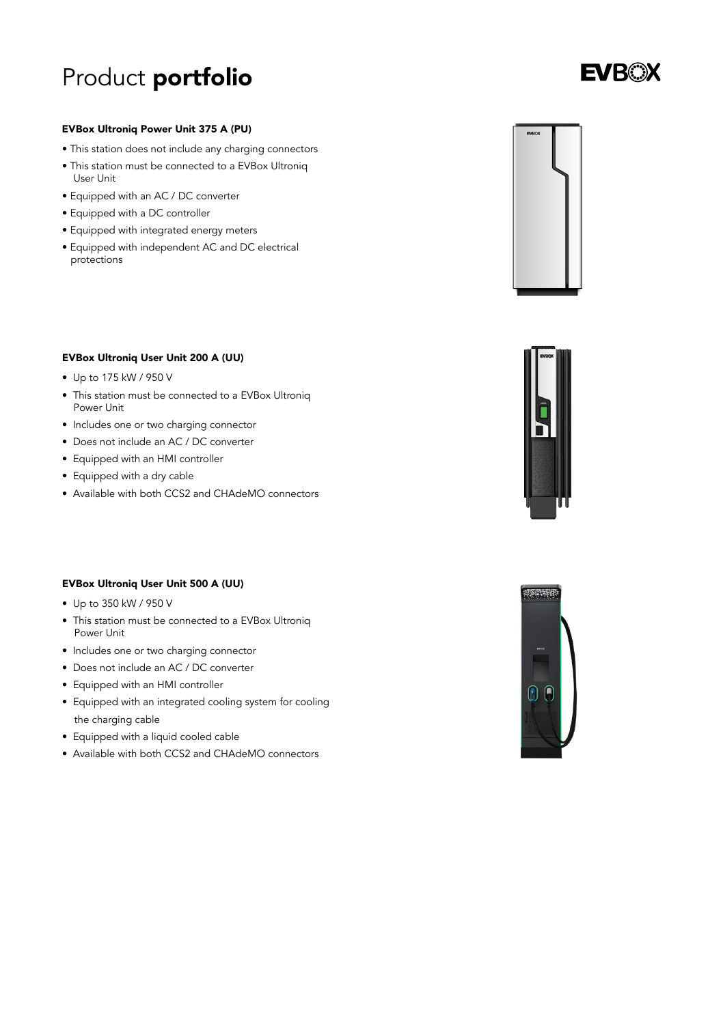# Product portfolio

### **EVBOX**

#### EVBox Ultroniq Power Unit 375 A (PU)

- This station does not include any charging connectors
- This station must be connected to a EVBox Ultroniq User Unit
- Equipped with an AC / DC converter
- Equipped with a DC controller
- Equipped with integrated energy meters
- Equipped with independent AC and DC electrical protections



#### EVBox Ultroniq User Unit 200 A (UU)

- Up to 175 kW / 950 V
- This station must be connected to a EVBox Ultroniq Power Unit
- Includes one or two charging connector
- Does not include an AC / DC converter
- Equipped with an HMI controller
- Equipped with a dry cable
- Available with both CCS2 and CHAdeMO connectors

#### EVBox Ultroniq User Unit 500 A (UU)

- Up to 350 kW / 950 V
- This station must be connected to a EVBox Ultroniq Power Unit
- Includes one or two charging connector
- Does not include an AC / DC converter
- Equipped with an HMI controller
- Equipped with an integrated cooling system for cooling the charging cable
- Equipped with a liquid cooled cable
- Available with both CCS2 and CHAdeMO connectors



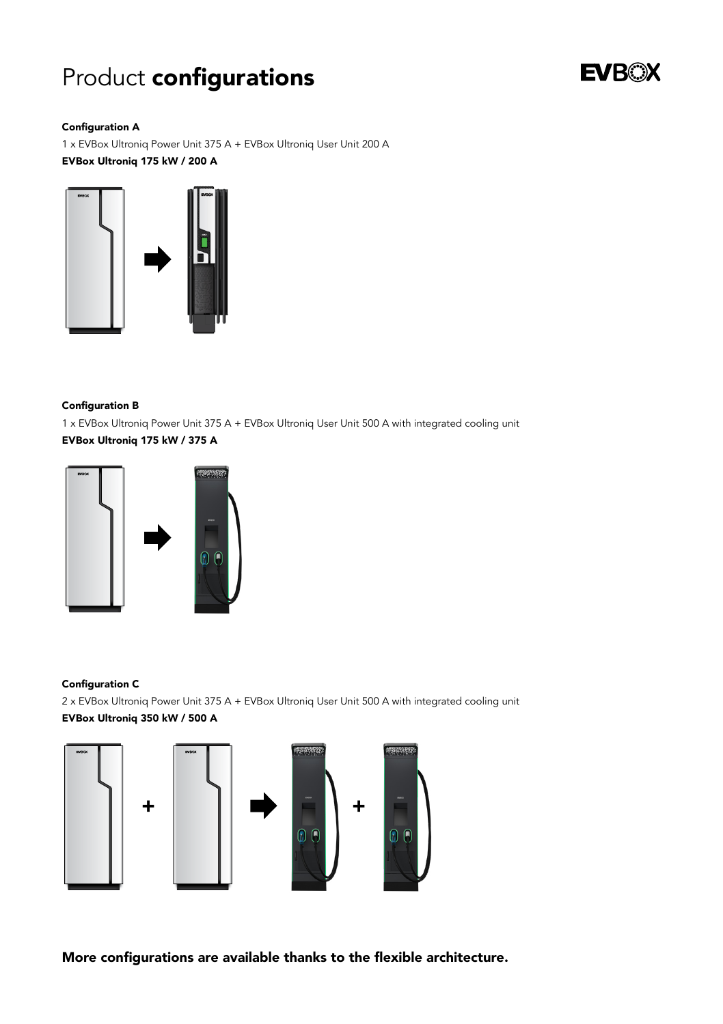# Product configurations



#### Configuration A

1 x EVBox Ultroniq Power Unit 375 A + EVBox Ultroniq User Unit 200 A EVBox Ultroniq 175 kW / 200 A



#### Configuration B

1 x EVBox Ultroniq Power Unit 375 A + EVBox Ultroniq User Unit 500 A with integrated cooling unit EVBox Ultroniq 175 kW / 375 A



#### Configuration C

2 x EVBox Ultroniq Power Unit 375 A + EVBox Ultroniq User Unit 500 A with integrated cooling unit EVBox Ultroniq 350 kW / 500 A



More configurations are available thanks to the flexible architecture.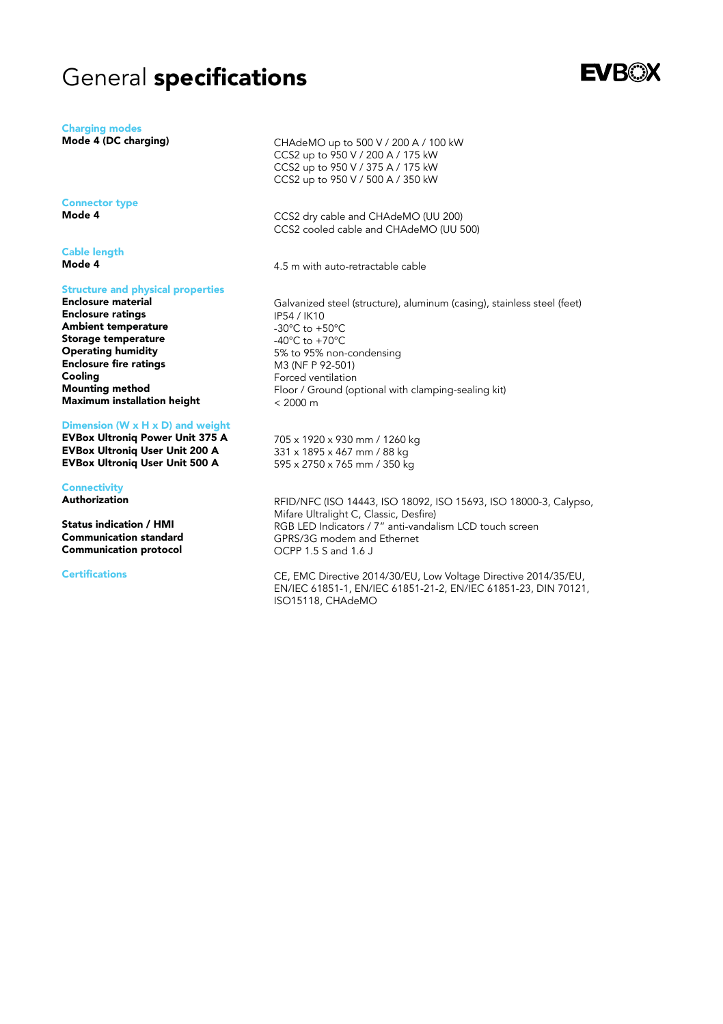### General specifications

Charging modes

Mode 4 (DC charging)

Connector type Mode 4

Cable length Mode 4

#### Structure and physical properties

Enclosure material Enclosure ratings Ambient temperature Storage temperature Operating humidity Enclosure fire ratings Cooling Mounting method Maximum installation height

#### Dimension (W x H x D) and weight

EVBox Ultroniq Power Unit 375 A EVBox Ultroniq User Unit 200 A EVBox Ultroniq User Unit 500 A

#### **Connectivity**

Authorization

Status indication / HMI Communication standard Communication protocol

#### **Certifications**

CHAdeMO up to 500 V / 200 A / 100 kW CCS2 up to 950 V / 200 A / 175 kW CCS2 up to 950 V / 375 A / 175 kW CCS2 up to 950 V / 500 A / 350 kW

CCS2 dry cable and CHAdeMO (UU 200) CCS2 cooled cable and CHAdeMO (UU 500)

4.5 m with auto-retractable cable

Galvanized steel (structure), aluminum (casing), stainless steel (feet) IP54 / IK10 -30°C to +50°C -40°C to +70°C 5% to 95% non-condensing M3 (NF P 92-501) Forced ventilation Floor / Ground (optional with clamping-sealing kit)  $< 2000 \text{ m}$ 

705 x 1920 x 930 mm / 1260 kg 331 x 1895 x 467 mm / 88 kg 595 x 2750 x 765 mm / 350 kg

RFID/NFC (ISO 14443, ISO 18092, ISO 15693, ISO 18000-3, Calypso, Mifare Ultralight C, Classic, Desfire) RGB LED Indicators / 7" anti-vandalism LCD touch screen GPRS/3G modem and Ethernet OCPP 1.5 S and 1.6 J

CE, EMC Directive 2014/30/EU, Low Voltage Directive 2014/35/EU, EN/IEC 61851-1, EN/IEC 61851-21-2, EN/IEC 61851-23, DIN 70121, ISO15118, CHAdeMO

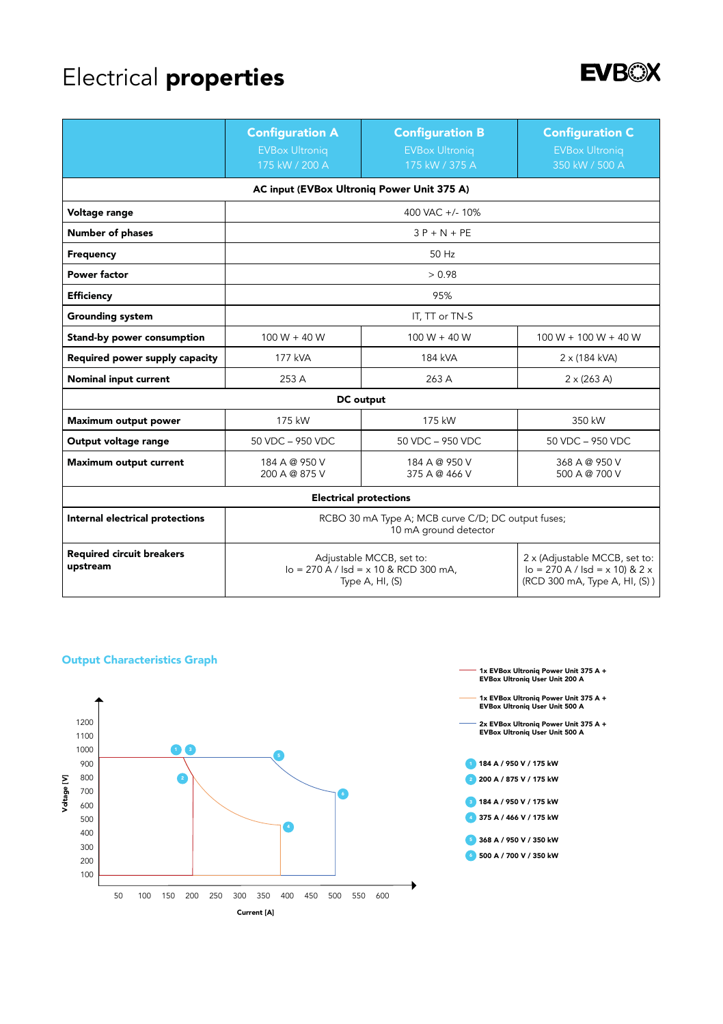# Electrical properties



|                                              | <b>Configuration A</b><br><b>EVBox Ultronig</b><br>175 kW / 200 A                       | <b>Configuration B</b><br><b>EVBox Ultronig</b><br>175 kW / 375 A | <b>Configuration C</b><br><b>EVBox Ultroniq</b><br>350 kW / 500 A                                   |
|----------------------------------------------|-----------------------------------------------------------------------------------------|-------------------------------------------------------------------|-----------------------------------------------------------------------------------------------------|
| AC input (EVBox Ultronig Power Unit 375 A)   |                                                                                         |                                                                   |                                                                                                     |
| Voltage range                                | 400 VAC +/- 10%                                                                         |                                                                   |                                                                                                     |
| Number of phases                             | $3P + N + PF$                                                                           |                                                                   |                                                                                                     |
| Frequency                                    | 50 Hz                                                                                   |                                                                   |                                                                                                     |
| Power factor                                 | > 0.98                                                                                  |                                                                   |                                                                                                     |
| Efficiency                                   | 95%                                                                                     |                                                                   |                                                                                                     |
| <b>Grounding system</b>                      | IT, TT or TN-S                                                                          |                                                                   |                                                                                                     |
| Stand-by power consumption                   | $100 W + 40 W$                                                                          | $100 W + 40 W$                                                    | $100 W + 100 W + 40 W$                                                                              |
| Required power supply capacity               | 177 kVA                                                                                 | 184 kVA                                                           | 2 x (184 kVA)                                                                                       |
| Nominal input current                        | 253 A                                                                                   | 263 A                                                             | $2 \times (263 \text{ A})$                                                                          |
| DC output                                    |                                                                                         |                                                                   |                                                                                                     |
| Maximum output power                         | 175 kW                                                                                  | 175 kW                                                            | 350 kW                                                                                              |
| Output voltage range                         | 50 VDC - 950 VDC                                                                        | 50 VDC - 950 VDC                                                  | 50 VDC - 950 VDC                                                                                    |
| Maximum output current                       | 184 A @ 950 V<br>200 A @ 875 V                                                          | 184 A @ 950 V<br>375 A @ 466 V                                    | 368 A @ 950 V<br>500 A @ 700 V                                                                      |
| <b>Electrical protections</b>                |                                                                                         |                                                                   |                                                                                                     |
| Internal electrical protections              | RCBO 30 mA Type A; MCB curve C/D; DC output fuses;<br>10 mA ground detector             |                                                                   |                                                                                                     |
| <b>Required circuit breakers</b><br>upstream | Adjustable MCCB, set to:<br>$I_0 = 270 A /$ Isd = x 10 & RCD 300 mA.<br>Type A, HI, (S) |                                                                   | 2 x (Adjustable MCCB, set to:<br>$I_0 = 270 A /$ Isd = x 10) & 2 x<br>(RCD 300 mA, Type A, HI, (S)) |